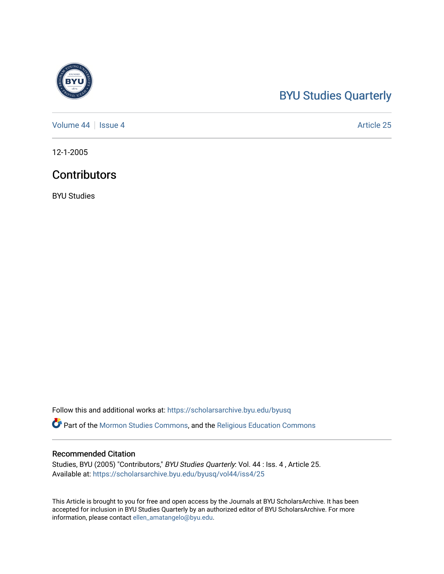# [BYU Studies Quarterly](https://scholarsarchive.byu.edu/byusq)

[Volume 44](https://scholarsarchive.byu.edu/byusq/vol44) | [Issue 4](https://scholarsarchive.byu.edu/byusq/vol44/iss4) Article 25

12-1-2005

### **Contributors**

BYU Studies

Follow this and additional works at: [https://scholarsarchive.byu.edu/byusq](https://scholarsarchive.byu.edu/byusq?utm_source=scholarsarchive.byu.edu%2Fbyusq%2Fvol44%2Fiss4%2F25&utm_medium=PDF&utm_campaign=PDFCoverPages) 

Part of the [Mormon Studies Commons](http://network.bepress.com/hgg/discipline/1360?utm_source=scholarsarchive.byu.edu%2Fbyusq%2Fvol44%2Fiss4%2F25&utm_medium=PDF&utm_campaign=PDFCoverPages), and the [Religious Education Commons](http://network.bepress.com/hgg/discipline/1414?utm_source=scholarsarchive.byu.edu%2Fbyusq%2Fvol44%2Fiss4%2F25&utm_medium=PDF&utm_campaign=PDFCoverPages) 

#### Recommended Citation

Studies, BYU (2005) "Contributors," BYU Studies Quarterly: Vol. 44 : Iss. 4 , Article 25. Available at: [https://scholarsarchive.byu.edu/byusq/vol44/iss4/25](https://scholarsarchive.byu.edu/byusq/vol44/iss4/25?utm_source=scholarsarchive.byu.edu%2Fbyusq%2Fvol44%2Fiss4%2F25&utm_medium=PDF&utm_campaign=PDFCoverPages) 

This Article is brought to you for free and open access by the Journals at BYU ScholarsArchive. It has been accepted for inclusion in BYU Studies Quarterly by an authorized editor of BYU ScholarsArchive. For more information, please contact [ellen\\_amatangelo@byu.edu.](mailto:ellen_amatangelo@byu.edu)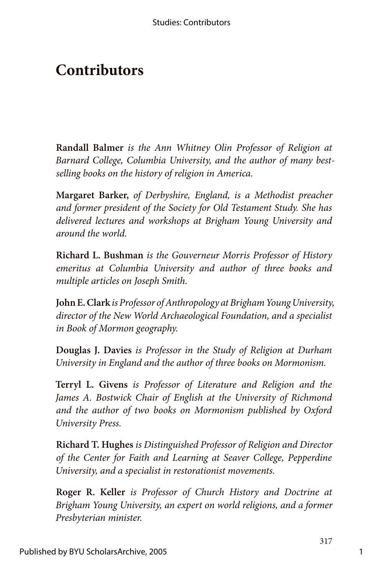## **Contributors**

**Randall Balmer** *is the Ann Whitney Olin Professor of Religion at Barnard College, Columbia University, and the author of many bestselling books on the history of religion in America.*

**Margaret Barker,** *of Derbyshire, England, is a Methodist preacher and former president of the Society for Old Testament Study. She has delivered lectures and workshops at Brigham Young University and around the world.*

**Richard L. Bushman** *is the Gouverneur Morris Professor of History emeritus at Columbia University and author of three books and multiple articles on Joseph Smith.*

**John E. Clark** *is Professor of Anthropology at Brigham Young University, director of the New World Archaeological Foundation, and a specialist in Book of Mormon geography.*

**Douglas J. Davies** *is Professor in the Study of Religion at Durham University in England and the author of three books on Mormonism.*

**Terryl L. Givens** *is Professor of Literature and Religion and the James A. Bostwick Chair of English at the University of Richmond and the author of two books on Mormonism published by Oxford University Press.*

**Richard T. Hughes** *is Distinguished Professor of Religion and Director of the Center for Faith and Learning at Seaver College, Pepperdine University, and a specialist in restorationist movements.*

**Roger R. Keller** *is Professor of Church History and Doctrine at Brigham Young University, an expert on world religions, and a former Presbyterian minister.*